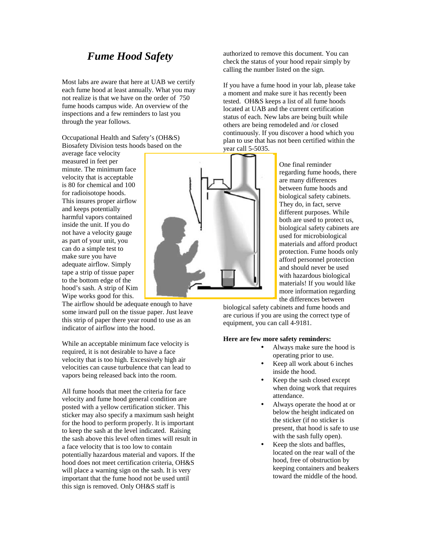## *Fume Hood Safety*

Most labs are aware that here at UAB we certify each fume hood at least annually. What you may not realize is that we have on the order of 750 fume hoods campus wide. An overview of the inspections and a few reminders to last you through the year follows.

Occupational Health and Safety's (OH&S) Biosafety Division tests hoods based on the

average face velocity measured in feet per minute. The minimum face velocity that is acceptable is 80 for chemical and 100 for radioisotope hoods. This insures proper airflow and keeps potentially harmful vapors contained inside the unit. If you do not have a velocity gauge as part of your unit, you can do a simple test to make sure you have adequate airflow. Simply tape a strip of tissue paper to the bottom edge of the hood's sash. A strip of Kim Wipe works good for this.

The airflow should be adequate enough to have some inward pull on the tissue paper. Just leave this strip of paper there year round to use as an indicator of airflow into the hood.

While an acceptable minimum face velocity is required, it is not desirable to have a face velocity that is too high. Excessively high air velocities can cause turbulence that can lead to vapors being released back into the room.

All fume hoods that meet the criteria for face velocity and fume hood general condition are posted with a yellow certification sticker. This sticker may also specify a maximum sash height for the hood to perform properly. It is important to keep the sash at the level indicated. Raising the sash above this level often times will result in a face velocity that is too low to contain potentially hazardous material and vapors. If the hood does not meet certification criteria, OH&S will place a warning sign on the sash. It is very important that the fume hood not be used until this sign is removed. Only OH&S staff is



authorized to remove this document. You can check the status of your hood repair simply by calling the number listed on the sign.

If you have a fume hood in your lab, please take a moment and make sure it has recently been tested. OH&S keeps a list of all fume hoods located at UAB and the current certification status of each. New labs are being built while others are being remodeled and /or closed continuously. If you discover a hood which you plan to use that has not been certified within the

One final reminder regarding fume hoods, there are many differences between fume hoods and biological safety cabinets. They do, in fact, serve different purposes. While both are used to protect us, biological safety cabinets are used for microbiological materials and afford product protection. Fume hoods only afford personnel protection and should never be used with hazardous biological materials! If you would like more information regarding the differences between

biological safety cabinets and fume hoods and are curious if you are using the correct type of equipment, you can call 4-9181.

## **Here are few more safety reminders:**

- Always make sure the hood is operating prior to use.
- Keep all work about 6 inches inside the hood.
- Keep the sash closed except when doing work that requires attendance.
- Always operate the hood at or below the height indicated on the sticker (if no sticker is present, that hood is safe to use with the sash fully open).
- Keep the slots and baffles, located on the rear wall of the hood, free of obstruction by keeping containers and beakers toward the middle of the hood.